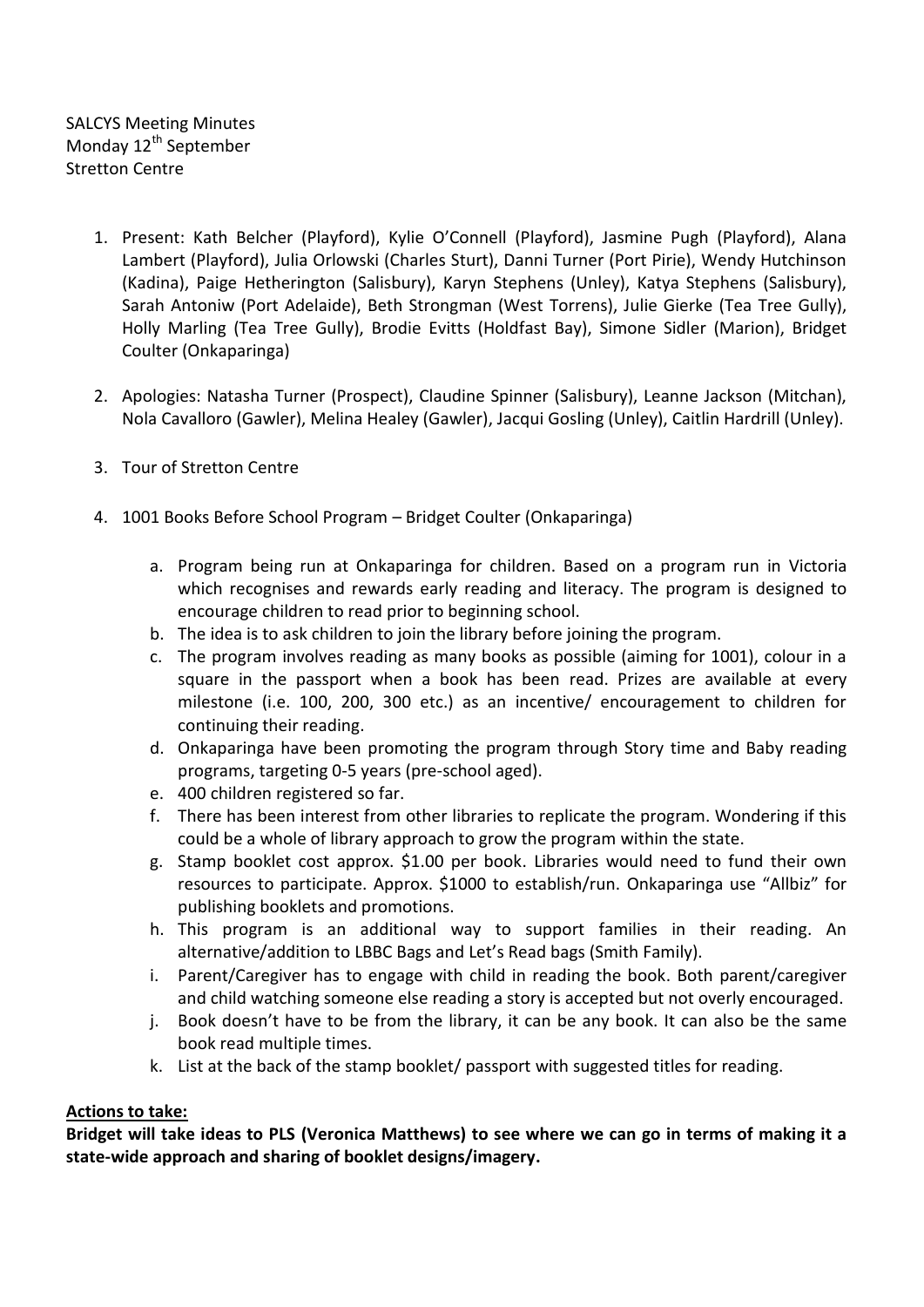SALCYS Meeting Minutes Monday 12<sup>th</sup> September Stretton Centre

- 1. Present: Kath Belcher (Playford), Kylie O'Connell (Playford), Jasmine Pugh (Playford), Alana Lambert (Playford), Julia Orlowski (Charles Sturt), Danni Turner (Port Pirie), Wendy Hutchinson (Kadina), Paige Hetherington (Salisbury), Karyn Stephens (Unley), Katya Stephens (Salisbury), Sarah Antoniw (Port Adelaide), Beth Strongman (West Torrens), Julie Gierke (Tea Tree Gully), Holly Marling (Tea Tree Gully), Brodie Evitts (Holdfast Bay), Simone Sidler (Marion), Bridget Coulter (Onkaparinga)
- 2. Apologies: Natasha Turner (Prospect), Claudine Spinner (Salisbury), Leanne Jackson (Mitchan), Nola Cavalloro (Gawler), Melina Healey (Gawler), Jacqui Gosling (Unley), Caitlin Hardrill (Unley).
- 3. Tour of Stretton Centre
- 4. 1001 Books Before School Program Bridget Coulter (Onkaparinga)
	- a. Program being run at Onkaparinga for children. Based on a program run in Victoria which recognises and rewards early reading and literacy. The program is designed to encourage children to read prior to beginning school.
	- b. The idea is to ask children to join the library before joining the program.
	- c. The program involves reading as many books as possible (aiming for 1001), colour in a square in the passport when a book has been read. Prizes are available at every milestone (i.e. 100, 200, 300 etc.) as an incentive/ encouragement to children for continuing their reading.
	- d. Onkaparinga have been promoting the program through Story time and Baby reading programs, targeting 0-5 years (pre-school aged).
	- e. 400 children registered so far.
	- f. There has been interest from other libraries to replicate the program. Wondering if this could be a whole of library approach to grow the program within the state.
	- g. Stamp booklet cost approx. \$1.00 per book. Libraries would need to fund their own resources to participate. Approx. \$1000 to establish/run. Onkaparinga use "Allbiz" for publishing booklets and promotions.
	- h. This program is an additional way to support families in their reading. An alternative/addition to LBBC Bags and Let's Read bags (Smith Family).
	- i. Parent/Caregiver has to engage with child in reading the book. Both parent/caregiver and child watching someone else reading a story is accepted but not overly encouraged.
	- j. Book doesn't have to be from the library, it can be any book. It can also be the same book read multiple times.
	- k. List at the back of the stamp booklet/ passport with suggested titles for reading.

## **Actions to take:**

**Bridget will take ideas to PLS (Veronica Matthews) to see where we can go in terms of making it a state-wide approach and sharing of booklet designs/imagery.**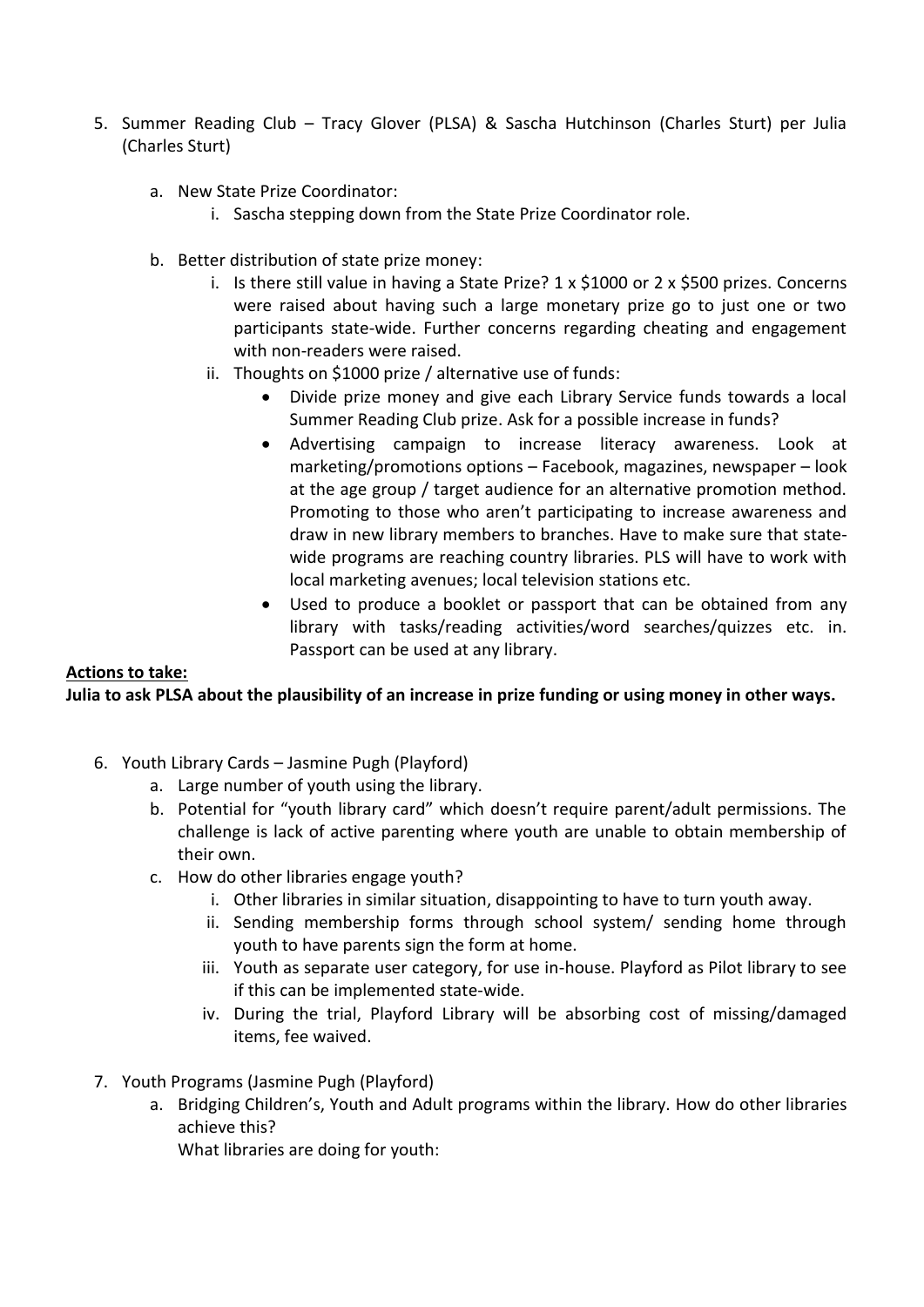- 5. Summer Reading Club Tracy Glover (PLSA) & Sascha Hutchinson (Charles Sturt) per Julia (Charles Sturt)
	- a. New State Prize Coordinator:
		- i. Sascha stepping down from the State Prize Coordinator role.
	- b. Better distribution of state prize money:
		- i. Is there still value in having a State Prize?  $1 \times 51000$  or  $2 \times 5500$  prizes. Concerns were raised about having such a large monetary prize go to just one or two participants state-wide. Further concerns regarding cheating and engagement with non-readers were raised.
		- ii. Thoughts on \$1000 prize / alternative use of funds:
			- Divide prize money and give each Library Service funds towards a local Summer Reading Club prize. Ask for a possible increase in funds?
			- Advertising campaign to increase literacy awareness. Look at marketing/promotions options – Facebook, magazines, newspaper – look at the age group / target audience for an alternative promotion method. Promoting to those who aren't participating to increase awareness and draw in new library members to branches. Have to make sure that statewide programs are reaching country libraries. PLS will have to work with local marketing avenues; local television stations etc.
			- Used to produce a booklet or passport that can be obtained from any library with tasks/reading activities/word searches/quizzes etc. in. Passport can be used at any library.

## **Actions to take:**

## **Julia to ask PLSA about the plausibility of an increase in prize funding or using money in other ways.**

- 6. Youth Library Cards Jasmine Pugh (Playford)
	- a. Large number of youth using the library.
	- b. Potential for "youth library card" which doesn't require parent/adult permissions. The challenge is lack of active parenting where youth are unable to obtain membership of their own.
	- c. How do other libraries engage youth?
		- i. Other libraries in similar situation, disappointing to have to turn youth away.
		- ii. Sending membership forms through school system/ sending home through youth to have parents sign the form at home.
		- iii. Youth as separate user category, for use in-house. Playford as Pilot library to see if this can be implemented state-wide.
		- iv. During the trial, Playford Library will be absorbing cost of missing/damaged items, fee waived.
- 7. Youth Programs (Jasmine Pugh (Playford)
	- a. Bridging Children's, Youth and Adult programs within the library. How do other libraries achieve this?

What libraries are doing for youth: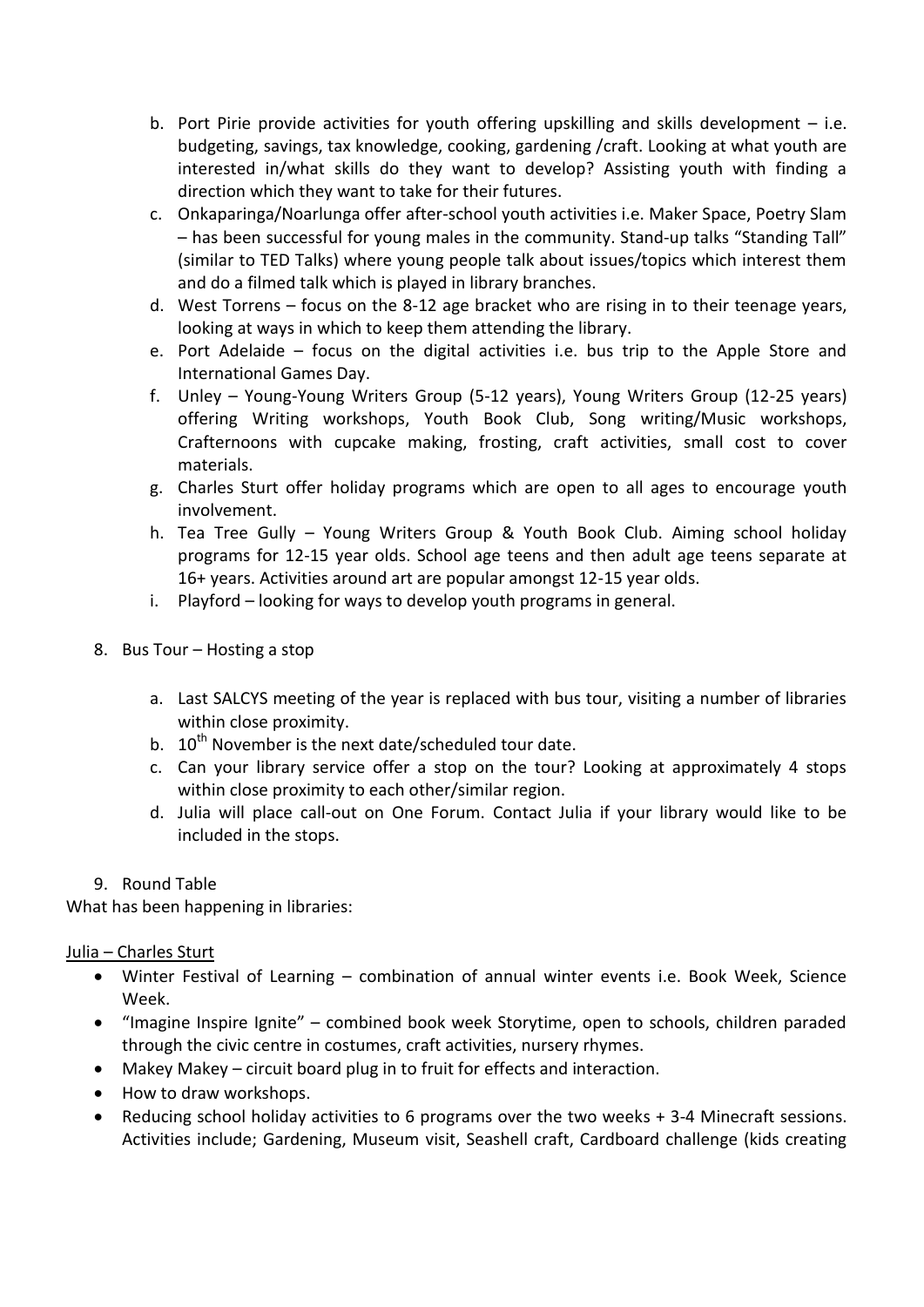- b. Port Pirie provide activities for youth offering upskilling and skills development i.e. budgeting, savings, tax knowledge, cooking, gardening /craft. Looking at what youth are interested in/what skills do they want to develop? Assisting youth with finding a direction which they want to take for their futures.
- c. Onkaparinga/Noarlunga offer after-school youth activities i.e. Maker Space, Poetry Slam – has been successful for young males in the community. Stand-up talks "Standing Tall" (similar to TED Talks) where young people talk about issues/topics which interest them and do a filmed talk which is played in library branches.
- d. West Torrens focus on the 8-12 age bracket who are rising in to their teenage years, looking at ways in which to keep them attending the library.
- e. Port Adelaide focus on the digital activities i.e. bus trip to the Apple Store and International Games Day.
- f. Unley Young-Young Writers Group (5-12 years), Young Writers Group (12-25 years) offering Writing workshops, Youth Book Club, Song writing/Music workshops, Crafternoons with cupcake making, frosting, craft activities, small cost to cover materials.
- g. Charles Sturt offer holiday programs which are open to all ages to encourage youth involvement.
- h. Tea Tree Gully Young Writers Group & Youth Book Club. Aiming school holiday programs for 12-15 year olds. School age teens and then adult age teens separate at 16+ years. Activities around art are popular amongst 12-15 year olds.
- i. Playford looking for ways to develop youth programs in general.
- 8. Bus Tour Hosting a stop
	- a. Last SALCYS meeting of the year is replaced with bus tour, visiting a number of libraries within close proximity.
	- b.  $10^{th}$  November is the next date/scheduled tour date.
	- c. Can your library service offer a stop on the tour? Looking at approximately 4 stops within close proximity to each other/similar region.
	- d. Julia will place call-out on One Forum. Contact Julia if your library would like to be included in the stops.
- 9. Round Table

What has been happening in libraries:

Julia – Charles Sturt

- Winter Festival of Learning combination of annual winter events i.e. Book Week, Science Week.
- "Imagine Inspire Ignite" combined book week Storytime, open to schools, children paraded through the civic centre in costumes, craft activities, nursery rhymes.
- Makey Makey circuit board plug in to fruit for effects and interaction.
- How to draw workshops.
- Reducing school holiday activities to 6 programs over the two weeks + 3-4 Minecraft sessions. Activities include; Gardening, Museum visit, Seashell craft, Cardboard challenge (kids creating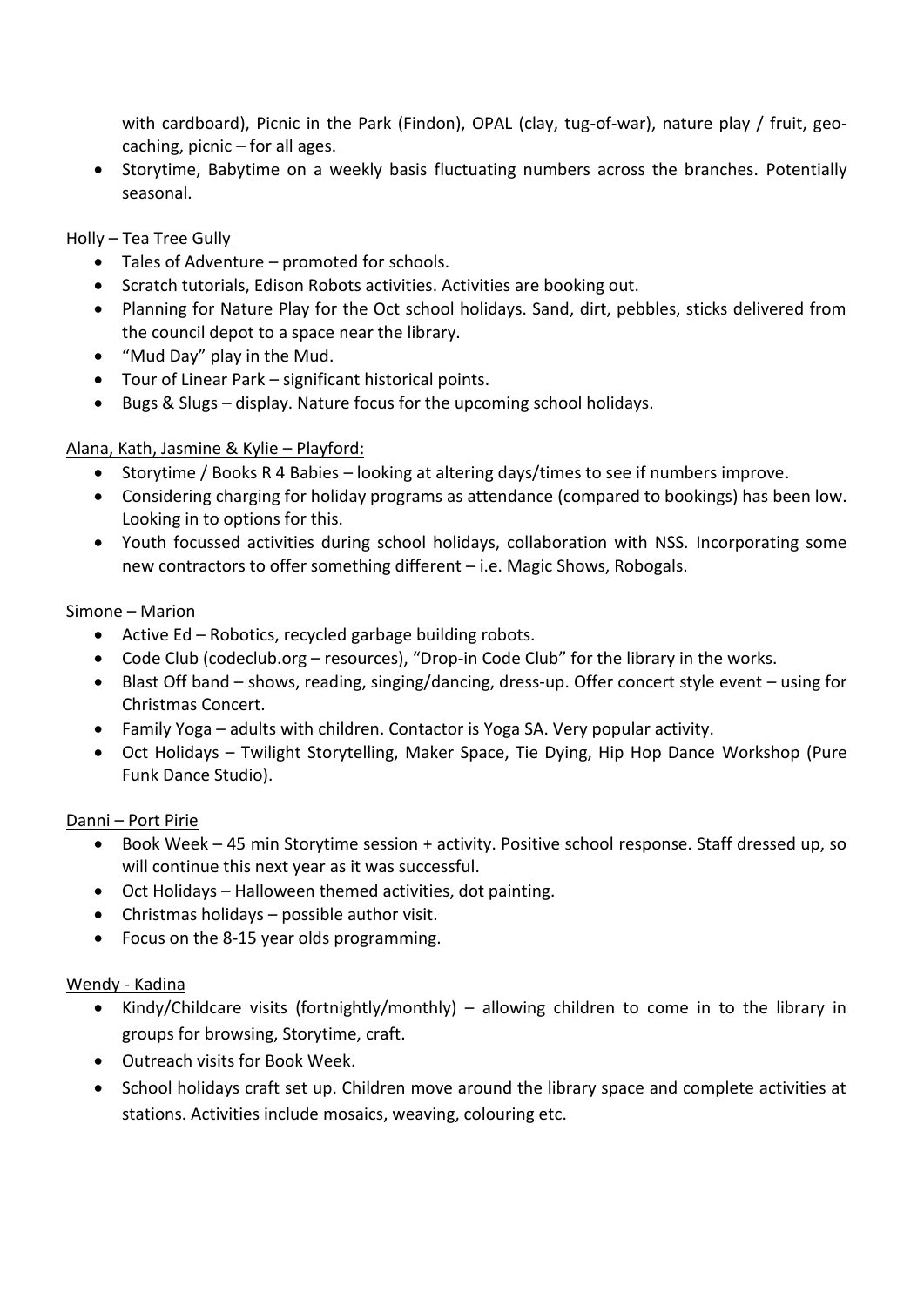with cardboard), Picnic in the Park (Findon), OPAL (clay, tug-of-war), nature play / fruit, geocaching, picnic – for all ages.

• Storytime, Babytime on a weekly basis fluctuating numbers across the branches. Potentially seasonal.

## Holly – Tea Tree Gully

- Tales of Adventure promoted for schools.
- Scratch tutorials, Edison Robots activities. Activities are booking out.
- Planning for Nature Play for the Oct school holidays. Sand, dirt, pebbles, sticks delivered from the council depot to a space near the library.
- "Mud Day" play in the Mud.
- Tour of Linear Park significant historical points.
- Bugs & Slugs display. Nature focus for the upcoming school holidays.

# Alana, Kath, Jasmine & Kylie – Playford:

- Storytime / Books R 4 Babies looking at altering days/times to see if numbers improve.
- Considering charging for holiday programs as attendance (compared to bookings) has been low. Looking in to options for this.
- Youth focussed activities during school holidays, collaboration with NSS. Incorporating some new contractors to offer something different – i.e. Magic Shows, Robogals.

## Simone – Marion

- Active Ed Robotics, recycled garbage building robots.
- Code Club (codeclub.org resources), "Drop-in Code Club" for the library in the works.
- Blast Off band shows, reading, singing/dancing, dress-up. Offer concert style event using for Christmas Concert.
- Family Yoga adults with children. Contactor is Yoga SA. Very popular activity.
- Oct Holidays Twilight Storytelling, Maker Space, Tie Dying, Hip Hop Dance Workshop (Pure Funk Dance Studio).

## Danni – Port Pirie

- Book Week 45 min Storytime session + activity. Positive school response. Staff dressed up, so will continue this next year as it was successful.
- Oct Holidays Halloween themed activities, dot painting.
- Christmas holidays possible author visit.
- Focus on the 8-15 year olds programming.

## Wendy - Kadina

- Kindy/Childcare visits (fortnightly/monthly) allowing children to come in to the library in groups for browsing, Storytime, craft.
- Outreach visits for Book Week.
- School holidays craft set up. Children move around the library space and complete activities at stations. Activities include mosaics, weaving, colouring etc.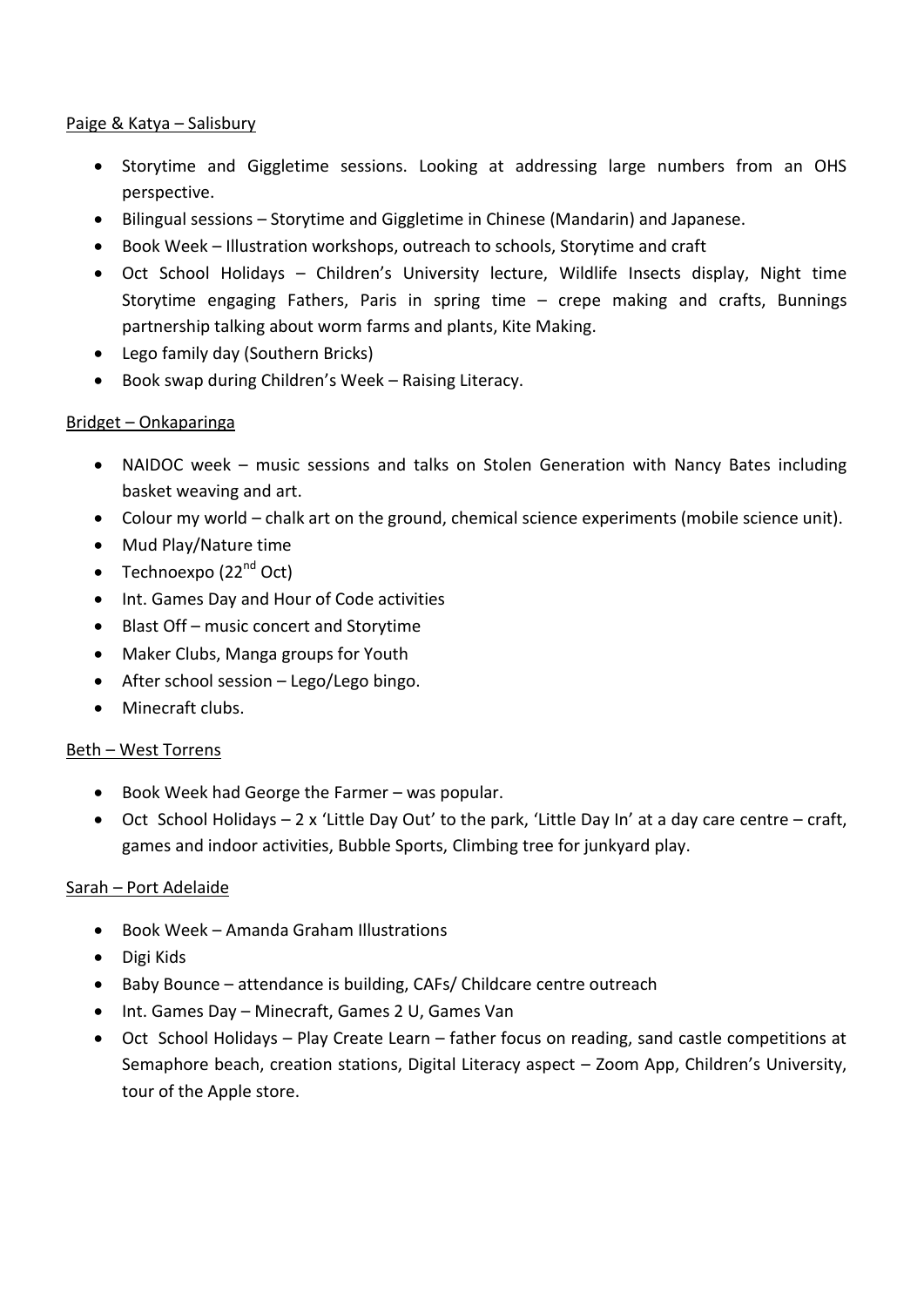#### Paige & Katya – Salisbury

- Storytime and Giggletime sessions. Looking at addressing large numbers from an OHS perspective.
- Bilingual sessions Storytime and Giggletime in Chinese (Mandarin) and Japanese.
- Book Week Illustration workshops, outreach to schools, Storytime and craft
- Oct School Holidays Children's University lecture, Wildlife Insects display, Night time Storytime engaging Fathers, Paris in spring time – crepe making and crafts, Bunnings partnership talking about worm farms and plants, Kite Making.
- Lego family day (Southern Bricks)
- Book swap during Children's Week Raising Literacy.

#### Bridget – Onkaparinga

- NAIDOC week music sessions and talks on Stolen Generation with Nancy Bates including basket weaving and art.
- Colour my world chalk art on the ground, chemical science experiments (mobile science unit).
- Mud Play/Nature time
- Technoexpo  $(22<sup>nd</sup> Oct)$
- Int. Games Day and Hour of Code activities
- Blast Off music concert and Storytime
- Maker Clubs, Manga groups for Youth
- After school session Lego/Lego bingo.
- Minecraft clubs.

#### Beth – West Torrens

- $\bullet$  Book Week had George the Farmer was popular.
- $\bullet$  Oct School Holidays 2 x 'Little Day Out' to the park, 'Little Day In' at a day care centre craft, games and indoor activities, Bubble Sports, Climbing tree for junkyard play.

## Sarah – Port Adelaide

- Book Week Amanda Graham Illustrations
- Digi Kids
- Baby Bounce attendance is building, CAFs/ Childcare centre outreach
- Int. Games Day Minecraft, Games 2 U, Games Van
- Oct School Holidays Play Create Learn father focus on reading, sand castle competitions at Semaphore beach, creation stations, Digital Literacy aspect – Zoom App, Children's University, tour of the Apple store.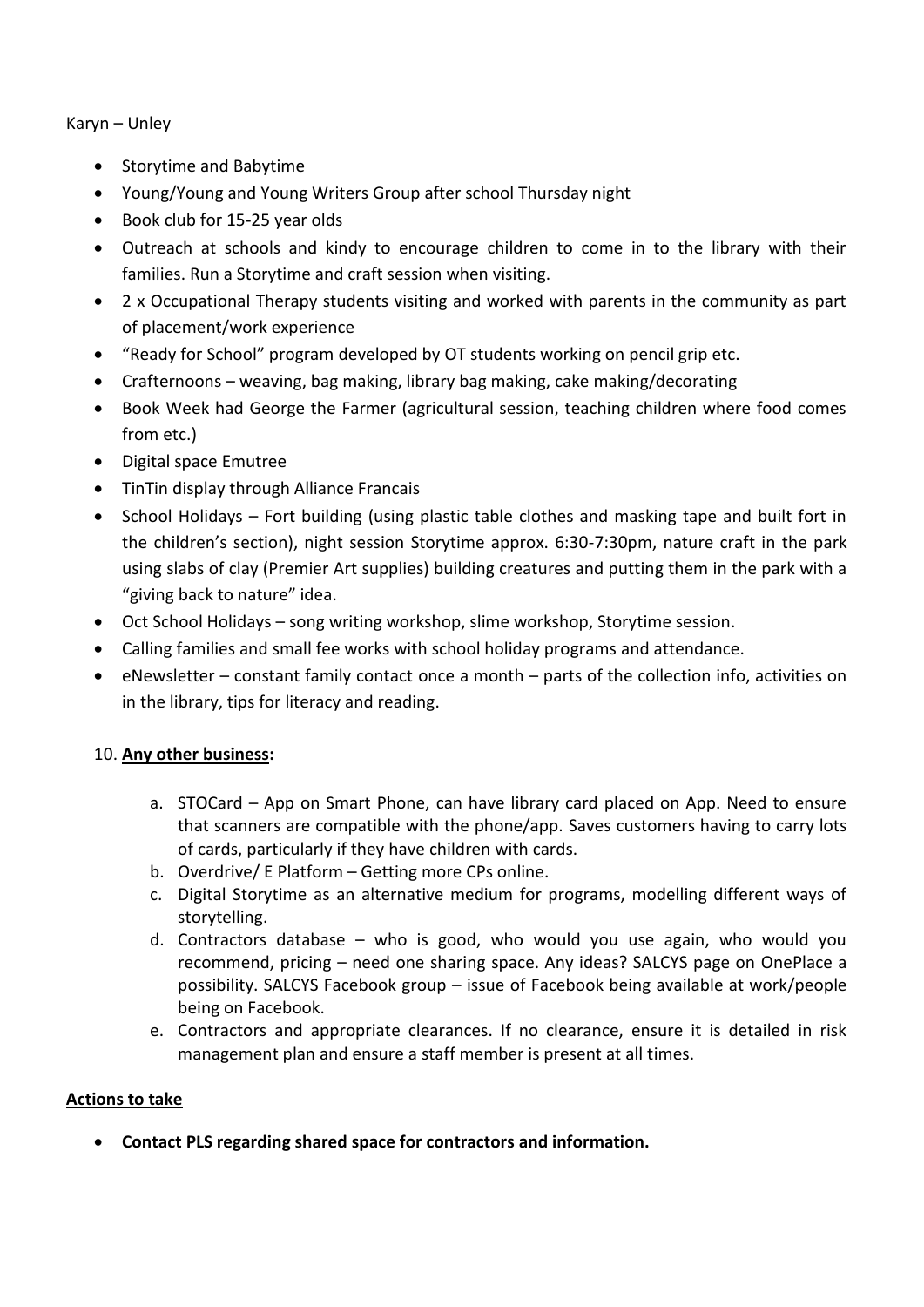## Karyn – Unley

- Storytime and Babytime
- Young/Young and Young Writers Group after school Thursday night
- Book club for 15-25 year olds
- Outreach at schools and kindy to encourage children to come in to the library with their families. Run a Storytime and craft session when visiting.
- 2 x Occupational Therapy students visiting and worked with parents in the community as part of placement/work experience
- "Ready for School" program developed by OT students working on pencil grip etc.
- Crafternoons weaving, bag making, library bag making, cake making/decorating
- Book Week had George the Farmer (agricultural session, teaching children where food comes from etc.)
- Digital space Emutree
- TinTin display through Alliance Francais
- School Holidays Fort building (using plastic table clothes and masking tape and built fort in the children's section), night session Storytime approx. 6:30-7:30pm, nature craft in the park using slabs of clay (Premier Art supplies) building creatures and putting them in the park with a "giving back to nature" idea.
- Oct School Holidays song writing workshop, slime workshop, Storytime session.
- Calling families and small fee works with school holiday programs and attendance.
- eNewsletter constant family contact once a month parts of the collection info, activities on in the library, tips for literacy and reading.

## 10. **Any other business:**

- a. STOCard App on Smart Phone, can have library card placed on App. Need to ensure that scanners are compatible with the phone/app. Saves customers having to carry lots of cards, particularly if they have children with cards.
- b. Overdrive/ E Platform Getting more CPs online.
- c. Digital Storytime as an alternative medium for programs, modelling different ways of storytelling.
- d. Contractors database who is good, who would you use again, who would you recommend, pricing – need one sharing space. Any ideas? SALCYS page on OnePlace a possibility. SALCYS Facebook group – issue of Facebook being available at work/people being on Facebook.
- e. Contractors and appropriate clearances. If no clearance, ensure it is detailed in risk management plan and ensure a staff member is present at all times.

## **Actions to take**

**Contact PLS regarding shared space for contractors and information.**